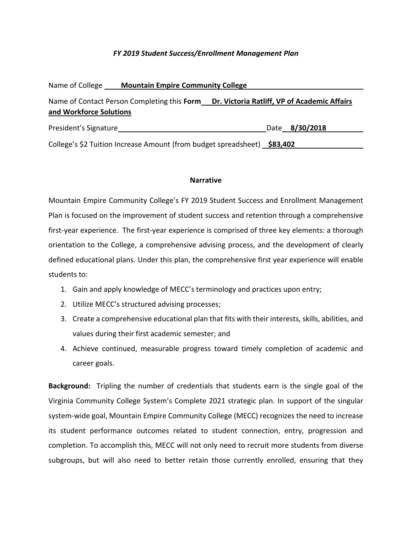#### *FY 2019 Student Success/Enrollment Management Plan*

| Name of College         | <b>Mountain Empire Community College</b>                                 |                                                                                          |  |  |  |
|-------------------------|--------------------------------------------------------------------------|------------------------------------------------------------------------------------------|--|--|--|
| and Workforce Solutions |                                                                          | Name of Contact Person Completing this Form Dr. Victoria Ratliff, VP of Academic Affairs |  |  |  |
| President's Signature   |                                                                          | Date 8/30/2018                                                                           |  |  |  |
|                         | College's \$2 Tuition Increase Amount (from budget spreadsheet) \$83,402 |                                                                                          |  |  |  |

#### **Narrative**

Mountain Empire Community College's FY 2019 Student Success and Enrollment Management Plan is focused on the improvement of student success and retention through a comprehensive first-year experience. The first-year experience is comprised of three key elements: a thorough orientation to the College, a comprehensive advising process, and the development of clearly defined educational plans. Under this plan, the comprehensive first year experience will enable students to:

- 1. Gain and apply knowledge of MECC's terminology and practices upon entry;
- 2. Utilize MECC's structured advising processes;
- 3. Create a comprehensive educational plan that fits with their interests, skills, abilities, and values during their first academic semester; and
- 4. Achieve continued, measurable progress toward timely completion of academic and career goals.

**Background:** Tripling the number of credentials that students earn is the single goal of the Virginia Community College System's Complete 2021 strategic plan. In support of the singular system-wide goal, Mountain Empire Community College (MECC) recognizes the need to increase its student performance outcomes related to student connection, entry, progression and completion. To accomplish this, MECC will not only need to recruit more students from diverse subgroups, but will also need to better retain those currently enrolled, ensuring that they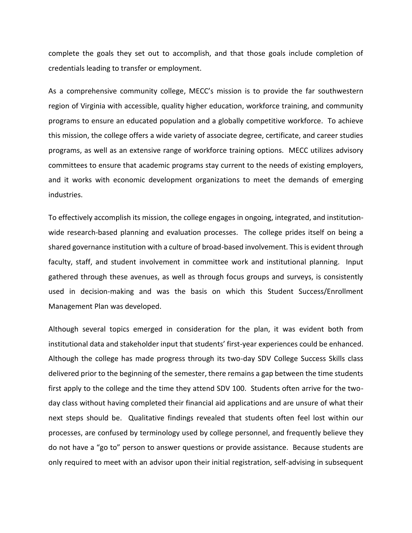complete the goals they set out to accomplish, and that those goals include completion of credentials leading to transfer or employment.

As a comprehensive community college, MECC's mission is to provide the far southwestern region of Virginia with accessible, quality higher education, workforce training, and community programs to ensure an educated population and a globally competitive workforce. To achieve this mission, the college offers a wide variety of associate degree, certificate, and career studies programs, as well as an extensive range of workforce training options. MECC utilizes advisory committees to ensure that academic programs stay current to the needs of existing employers, and it works with economic development organizations to meet the demands of emerging industries.

To effectively accomplish its mission, the college engages in ongoing, integrated, and institutionwide research-based planning and evaluation processes. The college prides itself on being a shared governance institution with a culture of broad-based involvement. This is evident through faculty, staff, and student involvement in committee work and institutional planning. Input gathered through these avenues, as well as through focus groups and surveys, is consistently used in decision-making and was the basis on which this Student Success/Enrollment Management Plan was developed.

Although several topics emerged in consideration for the plan, it was evident both from institutional data and stakeholder input that students' first-year experiences could be enhanced. Although the college has made progress through its two-day SDV College Success Skills class delivered prior to the beginning of the semester, there remains a gap between the time students first apply to the college and the time they attend SDV 100. Students often arrive for the twoday class without having completed their financial aid applications and are unsure of what their next steps should be. Qualitative findings revealed that students often feel lost within our processes, are confused by terminology used by college personnel, and frequently believe they do not have a "go to" person to answer questions or provide assistance. Because students are only required to meet with an advisor upon their initial registration, self-advising in subsequent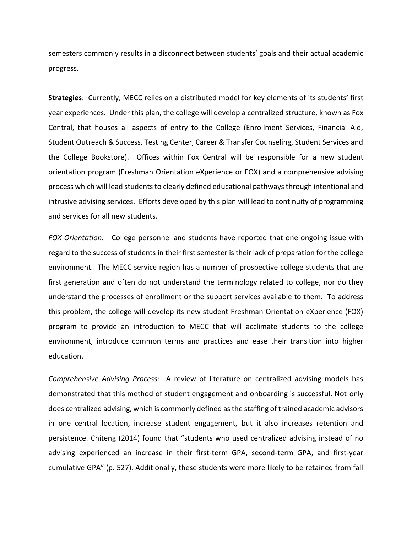semesters commonly results in a disconnect between students' goals and their actual academic progress.

**Strategies**: Currently, MECC relies on a distributed model for key elements of its students' first year experiences. Under this plan, the college will develop a centralized structure, known as Fox Central, that houses all aspects of entry to the College (Enrollment Services, Financial Aid, Student Outreach & Success, Testing Center, Career & Transfer Counseling, Student Services and the College Bookstore). Offices within Fox Central will be responsible for a new student orientation program (Freshman Orientation eXperience or FOX) and a comprehensive advising process which will lead students to clearly defined educational pathways through intentional and intrusive advising services. Efforts developed by this plan will lead to continuity of programming and services for all new students.

*FOX Orientation:* College personnel and students have reported that one ongoing issue with regard to the success of students in their first semester is their lack of preparation for the college environment. The MECC service region has a number of prospective college students that are first generation and often do not understand the terminology related to college, nor do they understand the processes of enrollment or the support services available to them. To address this problem, the college will develop its new student Freshman Orientation eXperience (FOX) program to provide an introduction to MECC that will acclimate students to the college environment, introduce common terms and practices and ease their transition into higher education.

*Comprehensive Advising Process:* A review of literature on centralized advising models has demonstrated that this method of student engagement and onboarding is successful. Not only does centralized advising, which is commonly defined as the staffing of trained academic advisors in one central location, increase student engagement, but it also increases retention and persistence. Chiteng (2014) found that "students who used centralized advising instead of no advising experienced an increase in their first-term GPA, second-term GPA, and first-year cumulative GPA" (p. 527). Additionally, these students were more likely to be retained from fall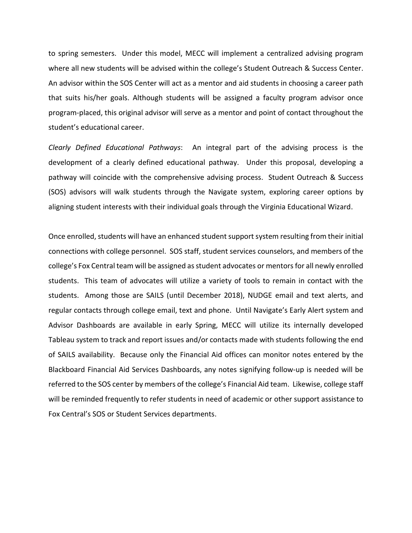to spring semesters. Under this model, MECC will implement a centralized advising program where all new students will be advised within the college's Student Outreach & Success Center. An advisor within the SOS Center will act as a mentor and aid students in choosing a career path that suits his/her goals. Although students will be assigned a faculty program advisor once program-placed, this original advisor will serve as a mentor and point of contact throughout the student's educational career.

*Clearly Defined Educational Pathways*: An integral part of the advising process is the development of a clearly defined educational pathway. Under this proposal, developing a pathway will coincide with the comprehensive advising process. Student Outreach & Success (SOS) advisors will walk students through the Navigate system, exploring career options by aligning student interests with their individual goals through the Virginia Educational Wizard.

Once enrolled, students will have an enhanced student support system resulting from their initial connections with college personnel. SOS staff, student services counselors, and members of the college's Fox Central team will be assigned as student advocates or mentorsfor all newly enrolled students. This team of advocates will utilize a variety of tools to remain in contact with the students. Among those are SAILS (until December 2018), NUDGE email and text alerts, and regular contacts through college email, text and phone. Until Navigate's Early Alert system and Advisor Dashboards are available in early Spring, MECC will utilize its internally developed Tableau system to track and report issues and/or contacts made with students following the end of SAILS availability. Because only the Financial Aid offices can monitor notes entered by the Blackboard Financial Aid Services Dashboards, any notes signifying follow-up is needed will be referred to the SOS center by members of the college's Financial Aid team. Likewise, college staff will be reminded frequently to refer students in need of academic or other support assistance to Fox Central's SOS or Student Services departments.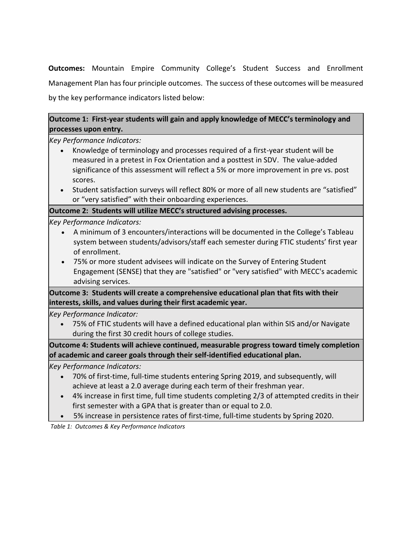**Outcomes:** Mountain Empire Community College's Student Success and Enrollment Management Plan has four principle outcomes. The success of these outcomes will be measured by the key performance indicators listed below:

# **Outcome 1: First-year students will gain and apply knowledge of MECC's terminology and processes upon entry.**

*Key Performance Indicators:*

- Knowledge of terminology and processes required of a first-year student will be measured in a pretest in Fox Orientation and a posttest in SDV. The value-added significance of this assessment will reflect a 5% or more improvement in pre vs. post scores.
- Student satisfaction surveys will reflect 80% or more of all new students are "satisfied" or "very satisfied" with their onboarding experiences.

### **Outcome 2: Students will utilize MECC's structured advising processes.**

### *Key Performance Indicators:*

- A minimum of 3 encounters/interactions will be documented in the College's Tableau system between students/advisors/staff each semester during FTIC students' first year of enrollment.
- 75% or more student advisees will indicate on the Survey of Entering Student Engagement (SENSE) that they are "satisfied" or "very satisfied" with MECC's academic advising services.

**Outcome 3: Students will create a comprehensive educational plan that fits with their interests, skills, and values during their first academic year.**

*Key Performance Indicator:*

 75% of FTIC students will have a defined educational plan within SIS and/or Navigate during the first 30 credit hours of college studies.

**Outcome 4: Students will achieve continued, measurable progress toward timely completion of academic and career goals through their self-identified educational plan.**

## *Key Performance Indicators:*

- 70% of first-time, full-time students entering Spring 2019, and subsequently, will achieve at least a 2.0 average during each term of their freshman year.
- 4% increase in first time, full time students completing 2/3 of attempted credits in their first semester with a GPA that is greater than or equal to 2.0.
- 5% increase in persistence rates of first-time, full-time students by Spring 2020.

*Table 1: Outcomes & Key Performance Indicators*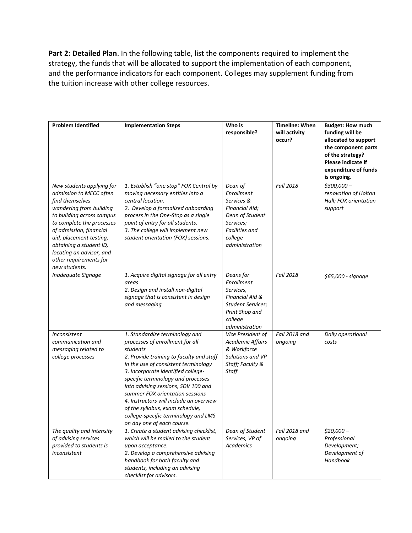Part 2: Detailed Plan. In the following table, list the components required to implement the strategy, the funds that will be allocated to support the implementation of each component, and the performance indicators for each component. Colleges may supplement funding from the tuition increase with other college resources.

| <b>Problem Identified</b>                                                                                                                                                                                                                                                                                            | <b>Implementation Steps</b>                                                                                                                                                                                                                                                                                                                                                                                                                                                 | Who is<br>responsible?                                                                                                                      | <b>Timeline: When</b><br>will activity<br>occur? | <b>Budget: How much</b><br>funding will be<br>allocated to support<br>the component parts<br>of the strategy?<br>Please indicate if<br>expenditure of funds<br>is ongoing. |
|----------------------------------------------------------------------------------------------------------------------------------------------------------------------------------------------------------------------------------------------------------------------------------------------------------------------|-----------------------------------------------------------------------------------------------------------------------------------------------------------------------------------------------------------------------------------------------------------------------------------------------------------------------------------------------------------------------------------------------------------------------------------------------------------------------------|---------------------------------------------------------------------------------------------------------------------------------------------|--------------------------------------------------|----------------------------------------------------------------------------------------------------------------------------------------------------------------------------|
| New students applying for<br>admission to MECC often<br>find themselves<br>wandering from building<br>to building across campus<br>to complete the processes<br>of admission, financial<br>aid, placement testing,<br>obtaining a student ID,<br>locating an advisor, and<br>other requirements for<br>new students. | 1. Establish "one stop" FOX Central by<br>moving necessary entities into a<br>central location.<br>2. Develop a formalized onboarding<br>process in the One-Stop as a single<br>point of entry for all students.<br>3. The college will implement new<br>student orientation (FOX) sessions.                                                                                                                                                                                | Dean of<br>Enrollment<br>Services &<br><b>Financial Aid;</b><br>Dean of Student<br>Services;<br>Facilities and<br>college<br>administration | <b>Fall 2018</b>                                 | $$300,000-$<br>renovation of Holton<br>Hall; FOX orientation<br>support                                                                                                    |
| <b>Inadequate Signage</b>                                                                                                                                                                                                                                                                                            | 1. Acquire digital signage for all entry<br>areas<br>2. Design and install non-digital<br>signage that is consistent in design<br>and messaging                                                                                                                                                                                                                                                                                                                             | Deans for<br>Enrollment<br>Services,<br>Financial Aid &<br><b>Student Services;</b><br>Print Shop and<br>college<br>administration          | <b>Fall 2018</b>                                 | \$65,000 - signage                                                                                                                                                         |
| Inconsistent<br>communication and<br>messaging related to<br>college processes                                                                                                                                                                                                                                       | 1. Standardize terminology and<br>processes of enrollment for all<br>students<br>2. Provide training to faculty and staff<br>in the use of consistent terminology<br>3. Incorporate identified college-<br>specific terminology and processes<br>into advising sessions, SDV 100 and<br>summer FOX orientation sessions<br>4. Instructors will include an overview<br>of the syllabus, exam schedule,<br>college-specific terminology and LMS<br>on day one of each course. | Vice President of<br>Academic Affairs<br>& Workforce<br>Solutions and VP<br>Staff; Faculty &<br>Staff                                       | Fall 2018 and<br>ongoing                         | Daily operational<br>costs                                                                                                                                                 |
| The quality and intensity<br>of advising services<br>provided to students is<br>inconsistent                                                                                                                                                                                                                         | 1. Create a student advising checklist,<br>which will be mailed to the student<br>upon acceptance.<br>2. Develop a comprehensive advising<br>handbook for both faculty and<br>students, including an advising<br>checklist for advisors.                                                                                                                                                                                                                                    | Dean of Student<br>Services, VP of<br><b>Academics</b>                                                                                      | Fall 2018 and<br>ongoing                         | $$20,000-$<br>Professional<br>Development;<br>Development of<br>Handbook                                                                                                   |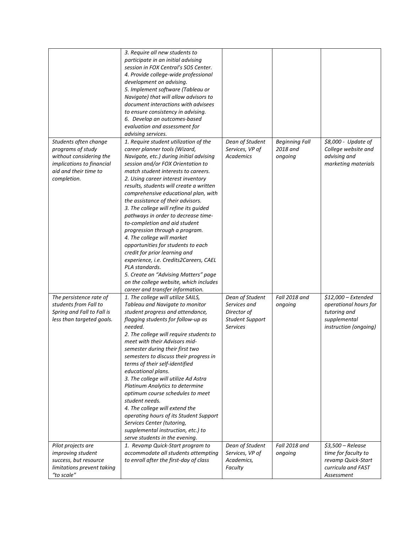|                                            | 3. Require all new students to                                                |                               |                       |                                           |
|--------------------------------------------|-------------------------------------------------------------------------------|-------------------------------|-----------------------|-------------------------------------------|
|                                            | participate in an initial advising                                            |                               |                       |                                           |
|                                            | session in FOX Central's SOS Center.<br>4. Provide college-wide professional  |                               |                       |                                           |
|                                            | development on advising.                                                      |                               |                       |                                           |
|                                            | 5. Implement software (Tableau or                                             |                               |                       |                                           |
|                                            | Navigate) that will allow advisors to                                         |                               |                       |                                           |
|                                            | document interactions with advisees                                           |                               |                       |                                           |
|                                            | to ensure consistency in advising.                                            |                               |                       |                                           |
|                                            | 6. Develop an outcomes-based                                                  |                               |                       |                                           |
|                                            | evaluation and assessment for                                                 |                               |                       |                                           |
|                                            | advising services.                                                            |                               |                       |                                           |
| Students often change                      | 1. Require student utilization of the                                         | Dean of Student               | <b>Beginning Fall</b> | \$8,000 - Update of                       |
| programs of study                          | career planner tools (Wizard,                                                 | Services, VP of               | 2018 and              | College website and                       |
| without considering the                    | Navigate, etc.) during initial advising                                       | Academics                     | ongoing               | advising and                              |
| implications to financial                  | session and/or FOX Orientation to                                             |                               |                       | marketing materials                       |
| aid and their time to                      | match student interests to careers.                                           |                               |                       |                                           |
| completion.                                | 2. Using career interest inventory                                            |                               |                       |                                           |
|                                            | results, students will create a written                                       |                               |                       |                                           |
|                                            | comprehensive educational plan, with                                          |                               |                       |                                           |
|                                            | the assistance of their advisors.                                             |                               |                       |                                           |
|                                            | 3. The college will refine its guided                                         |                               |                       |                                           |
|                                            | pathways in order to decrease time-                                           |                               |                       |                                           |
|                                            | to-completion and aid student<br>progression through a program.               |                               |                       |                                           |
|                                            | 4. The college will market                                                    |                               |                       |                                           |
|                                            | opportunities for students to each                                            |                               |                       |                                           |
|                                            | credit for prior learning and                                                 |                               |                       |                                           |
|                                            | experience, i.e. Credits2Careers, CAEL                                        |                               |                       |                                           |
|                                            | PLA standards.                                                                |                               |                       |                                           |
|                                            | 5. Create an "Advising Matters" page                                          |                               |                       |                                           |
|                                            | on the college website, which includes                                        |                               |                       |                                           |
|                                            | career and transfer information.                                              |                               |                       |                                           |
| The persistence rate of                    | 1. The college will utilize SAILS,                                            | Dean of Student               | Fall 2018 and         | $$12,000$ - Extended                      |
| students from Fall to                      | Tableau and Navigate to monitor                                               | Services and                  | ongoing               | operational hours for                     |
| Spring and Fall to Fall is                 | student progress and attendance,                                              | Director of                   |                       | tutoring and                              |
| less than targeted goals.                  | flagging students for follow-up as                                            | <b>Student Support</b>        |                       | supplemental                              |
|                                            | needed.                                                                       | <b>Services</b>               |                       | instruction (ongoing)                     |
|                                            | 2. The college will require students to<br>meet with their Advisors mid-      |                               |                       |                                           |
|                                            | semester during their first two                                               |                               |                       |                                           |
|                                            | semesters to discuss their progress in                                        |                               |                       |                                           |
|                                            | terms of their self-identified                                                |                               |                       |                                           |
|                                            | educational plans.                                                            |                               |                       |                                           |
|                                            | 3. The college will utilize Ad Astra                                          |                               |                       |                                           |
|                                            | Platinum Analytics to determine                                               |                               |                       |                                           |
|                                            | optimum course schedules to meet                                              |                               |                       |                                           |
|                                            | student needs.                                                                |                               |                       |                                           |
|                                            | 4. The college will extend the                                                |                               |                       |                                           |
|                                            | operating hours of its Student Support                                        |                               |                       |                                           |
|                                            | Services Center (tutoring,                                                    |                               |                       |                                           |
|                                            | supplemental instruction, etc.) to                                            |                               |                       |                                           |
|                                            | serve students in the evening.                                                |                               |                       |                                           |
| Pilot projects are                         | 1. Revamp Quick-Start program to                                              | Dean of Student               | Fall 2018 and         | $$3,500 - Release$                        |
| improving student<br>success, but resource | accommodate all students attempting<br>to enroll after the first-day of class | Services, VP of<br>Academics, | ongoing               | time for faculty to<br>revamp Quick-Start |
| limitations prevent taking                 |                                                                               | Faculty                       |                       | curricula and FAST                        |
| "to scale"                                 |                                                                               |                               |                       | Assessment                                |